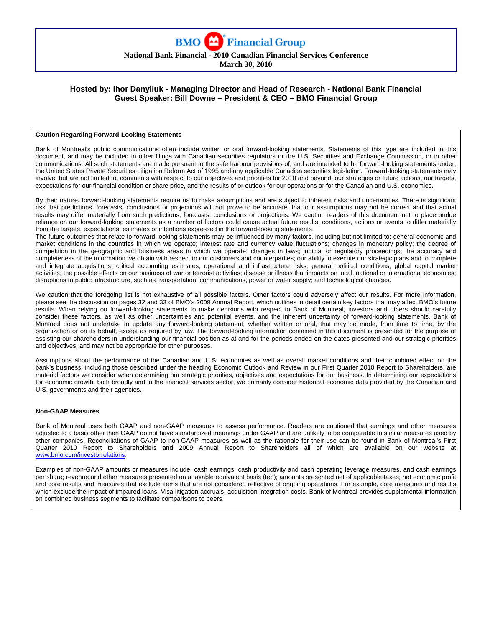

# **National Bank Financial - 2010 Canadian Financial Services Conference**

**March 30, 2010**

# **Hosted by: Ihor Danyliuk - Managing Director and Head of Research - National Bank Financial Guest Speaker: Bill Downe – President & CEO – BMO Financial Group**

#### **Caution Regarding Forward-Looking Statements**

Bank of Montreal's public communications often include written or oral forward-looking statements. Statements of this type are included in this document, and may be included in other filings with Canadian securities regulators or the U.S. Securities and Exchange Commission, or in other communications. All such statements are made pursuant to the safe harbour provisions of, and are intended to be forward-looking statements under, the United States Private Securities Litigation Reform Act of 1995 and any applicable Canadian securities legislation. Forward-looking statements may involve, but are not limited to, comments with respect to our objectives and priorities for 2010 and beyond, our strategies or future actions, our targets, expectations for our financial condition or share price, and the results of or outlook for our operations or for the Canadian and U.S. economies.

By their nature, forward-looking statements require us to make assumptions and are subject to inherent risks and uncertainties. There is significant risk that predictions, forecasts, conclusions or projections will not prove to be accurate, that our assumptions may not be correct and that actual results may differ materially from such predictions, forecasts, conclusions or projections. We caution readers of this document not to place undue reliance on our forward-looking statements as a number of factors could cause actual future results, conditions, actions or events to differ materially from the targets, expectations, estimates or intentions expressed in the forward-looking statements.

The future outcomes that relate to forward-looking statements may be influenced by many factors, including but not limited to: general economic and market conditions in the countries in which we operate; interest rate and currency value fluctuations; changes in monetary policy; the degree of competition in the geographic and business areas in which we operate; changes in laws; judicial or regulatory proceedings; the accuracy and completeness of the information we obtain with respect to our customers and counterparties; our ability to execute our strategic plans and to complete and integrate acquisitions; critical accounting estimates; operational and infrastructure risks; general political conditions; global capital market activities; the possible effects on our business of war or terrorist activities; disease or illness that impacts on local, national or international economies; disruptions to public infrastructure, such as transportation, communications, power or water supply; and technological changes.

We caution that the foregoing list is not exhaustive of all possible factors. Other factors could adversely affect our results. For more information, please see the discussion on pages 32 and 33 of BMO's 2009 Annual Report, which outlines in detail certain key factors that may affect BMO's future results. When relying on forward-looking statements to make decisions with respect to Bank of Montreal, investors and others should carefully consider these factors, as well as other uncertainties and potential events, and the inherent uncertainty of forward-looking statements. Bank of Montreal does not undertake to update any forward-looking statement, whether written or oral, that may be made, from time to time, by the organization or on its behalf, except as required by law. The forward-looking information contained in this document is presented for the purpose of assisting our shareholders in understanding our financial position as at and for the periods ended on the dates presented and our strategic priorities and objectives, and may not be appropriate for other purposes.

Assumptions about the performance of the Canadian and U.S. economies as well as overall market conditions and their combined effect on the bank's business, including those described under the heading Economic Outlook and Review in our First Quarter 2010 Report to Shareholders, are material factors we consider when determining our strategic priorities, objectives and expectations for our business. In determining our expectations for economic growth, both broadly and in the financial services sector, we primarily consider historical economic data provided by the Canadian and U.S. governments and their agencies.

#### **Non-GAAP Measures**

Bank of Montreal uses both GAAP and non-GAAP measures to assess performance. Readers are cautioned that earnings and other measures adjusted to a basis other than GAAP do not have standardized meanings under GAAP and are unlikely to be comparable to similar measures used by other companies. Reconciliations of GAAP to non-GAAP measures as well as the rationale for their use can be found in Bank of Montreal's First Quarter 2010 Report to Shareholders and 2009 Annual Report to Shareholders all of which are available on our website at www.bmo.com/investorrelations.

Examples of non-GAAP amounts or measures include: cash earnings, cash productivity and cash operating leverage measures, and cash earnings per share; revenue and other measures presented on a taxable equivalent basis (teb); amounts presented net of applicable taxes; net economic profit and core results and measures that exclude items that are not considered reflective of ongoing operations. For example, core measures and results which exclude the impact of impaired loans, Visa litigation accruals, acquisition integration costs. Bank of Montreal provides supplemental information on combined business segments to facilitate comparisons to peers.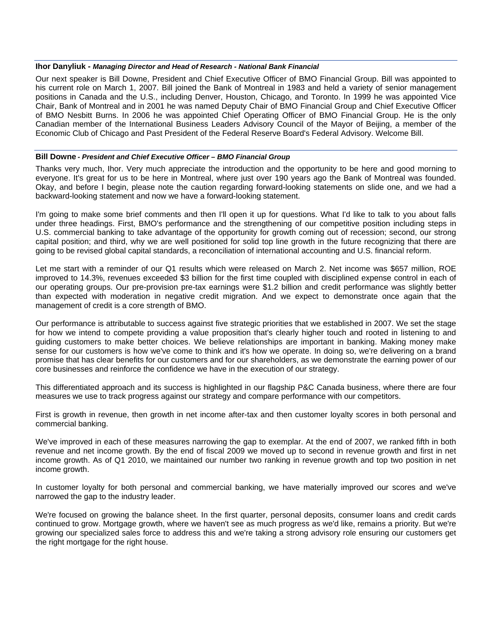#### **Ihor Danyliuk** *- Managing Director and Head of Research - National Bank Financial*

Our next speaker is Bill Downe, President and Chief Executive Officer of BMO Financial Group. Bill was appointed to his current role on March 1, 2007. Bill joined the Bank of Montreal in 1983 and held a variety of senior management positions in Canada and the U.S., including Denver, Houston, Chicago, and Toronto. In 1999 he was appointed Vice Chair, Bank of Montreal and in 2001 he was named Deputy Chair of BMO Financial Group and Chief Executive Officer of BMO Nesbitt Burns. In 2006 he was appointed Chief Operating Officer of BMO Financial Group. He is the only Canadian member of the International Business Leaders Advisory Council of the Mayor of Beijing, a member of the Economic Club of Chicago and Past President of the Federal Reserve Board's Federal Advisory. Welcome Bill.

#### **Bill Downe** *- President and Chief Executive Officer – BMO Financial Group*

Thanks very much, Ihor. Very much appreciate the introduction and the opportunity to be here and good morning to everyone. It's great for us to be here in Montreal, where just over 190 years ago the Bank of Montreal was founded. Okay, and before I begin, please note the caution regarding forward-looking statements on slide one, and we had a backward-looking statement and now we have a forward-looking statement.

I'm going to make some brief comments and then I'll open it up for questions. What I'd like to talk to you about falls under three headings. First, BMO's performance and the strengthening of our competitive position including steps in U.S. commercial banking to take advantage of the opportunity for growth coming out of recession; second, our strong capital position; and third, why we are well positioned for solid top line growth in the future recognizing that there are going to be revised global capital standards, a reconciliation of international accounting and U.S. financial reform.

Let me start with a reminder of our Q1 results which were released on March 2. Net income was \$657 million, ROE improved to 14.3%, revenues exceeded \$3 billion for the first time coupled with disciplined expense control in each of our operating groups. Our pre-provision pre-tax earnings were \$1.2 billion and credit performance was slightly better than expected with moderation in negative credit migration. And we expect to demonstrate once again that the management of credit is a core strength of BMO.

Our performance is attributable to success against five strategic priorities that we established in 2007. We set the stage for how we intend to compete providing a value proposition that's clearly higher touch and rooted in listening to and guiding customers to make better choices. We believe relationships are important in banking. Making money make sense for our customers is how we've come to think and it's how we operate. In doing so, we're delivering on a brand promise that has clear benefits for our customers and for our shareholders, as we demonstrate the earning power of our core businesses and reinforce the confidence we have in the execution of our strategy.

This differentiated approach and its success is highlighted in our flagship P&C Canada business, where there are four measures we use to track progress against our strategy and compare performance with our competitors.

First is growth in revenue, then growth in net income after-tax and then customer loyalty scores in both personal and commercial banking.

We've improved in each of these measures narrowing the gap to exemplar. At the end of 2007, we ranked fifth in both revenue and net income growth. By the end of fiscal 2009 we moved up to second in revenue growth and first in net income growth. As of Q1 2010, we maintained our number two ranking in revenue growth and top two position in net income growth.

In customer loyalty for both personal and commercial banking, we have materially improved our scores and we've narrowed the gap to the industry leader.

We're focused on growing the balance sheet. In the first quarter, personal deposits, consumer loans and credit cards continued to grow. Mortgage growth, where we haven't see as much progress as we'd like, remains a priority. But we're growing our specialized sales force to address this and we're taking a strong advisory role ensuring our customers get the right mortgage for the right house.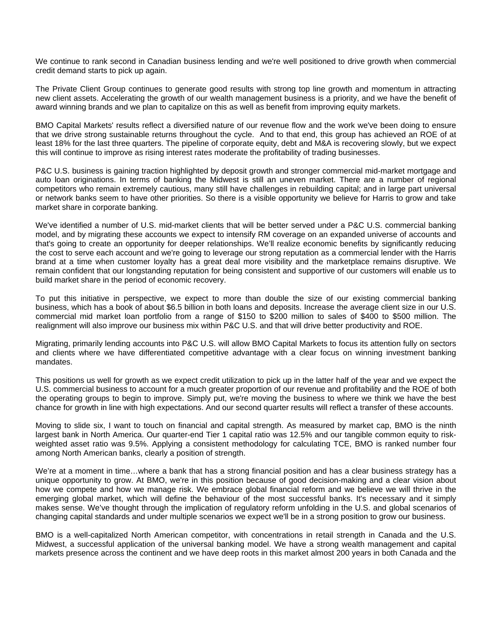We continue to rank second in Canadian business lending and we're well positioned to drive growth when commercial credit demand starts to pick up again.

The Private Client Group continues to generate good results with strong top line growth and momentum in attracting new client assets. Accelerating the growth of our wealth management business is a priority, and we have the benefit of award winning brands and we plan to capitalize on this as well as benefit from improving equity markets.

BMO Capital Markets' results reflect a diversified nature of our revenue flow and the work we've been doing to ensure that we drive strong sustainable returns throughout the cycle. And to that end, this group has achieved an ROE of at least 18% for the last three quarters. The pipeline of corporate equity, debt and M&A is recovering slowly, but we expect this will continue to improve as rising interest rates moderate the profitability of trading businesses.

P&C U.S. business is gaining traction highlighted by deposit growth and stronger commercial mid-market mortgage and auto loan originations. In terms of banking the Midwest is still an uneven market. There are a number of regional competitors who remain extremely cautious, many still have challenges in rebuilding capital; and in large part universal or network banks seem to have other priorities. So there is a visible opportunity we believe for Harris to grow and take market share in corporate banking.

We've identified a number of U.S. mid-market clients that will be better served under a P&C U.S. commercial banking model, and by migrating these accounts we expect to intensify RM coverage on an expanded universe of accounts and that's going to create an opportunity for deeper relationships. We'll realize economic benefits by significantly reducing the cost to serve each account and we're going to leverage our strong reputation as a commercial lender with the Harris brand at a time when customer loyalty has a great deal more visibility and the marketplace remains disruptive. We remain confident that our longstanding reputation for being consistent and supportive of our customers will enable us to build market share in the period of economic recovery.

To put this initiative in perspective, we expect to more than double the size of our existing commercial banking business, which has a book of about \$6.5 billion in both loans and deposits. Increase the average client size in our U.S. commercial mid market loan portfolio from a range of \$150 to \$200 million to sales of \$400 to \$500 million. The realignment will also improve our business mix within P&C U.S. and that will drive better productivity and ROE.

Migrating, primarily lending accounts into P&C U.S. will allow BMO Capital Markets to focus its attention fully on sectors and clients where we have differentiated competitive advantage with a clear focus on winning investment banking mandates.

This positions us well for growth as we expect credit utilization to pick up in the latter half of the year and we expect the U.S. commercial business to account for a much greater proportion of our revenue and profitability and the ROE of both the operating groups to begin to improve. Simply put, we're moving the business to where we think we have the best chance for growth in line with high expectations. And our second quarter results will reflect a transfer of these accounts.

Moving to slide six, I want to touch on financial and capital strength. As measured by market cap, BMO is the ninth largest bank in North America. Our quarter-end Tier 1 capital ratio was 12.5% and our tangible common equity to riskweighted asset ratio was 9.5%. Applying a consistent methodology for calculating TCE, BMO is ranked number four among North American banks, clearly a position of strength.

We're at a moment in time…where a bank that has a strong financial position and has a clear business strategy has a unique opportunity to grow. At BMO, we're in this position because of good decision-making and a clear vision about how we compete and how we manage risk. We embrace global financial reform and we believe we will thrive in the emerging global market, which will define the behaviour of the most successful banks. It's necessary and it simply makes sense. We've thought through the implication of regulatory reform unfolding in the U.S. and global scenarios of changing capital standards and under multiple scenarios we expect we'll be in a strong position to grow our business.

BMO is a well-capitalized North American competitor, with concentrations in retail strength in Canada and the U.S. Midwest, a successful application of the universal banking model. We have a strong wealth management and capital markets presence across the continent and we have deep roots in this market almost 200 years in both Canada and the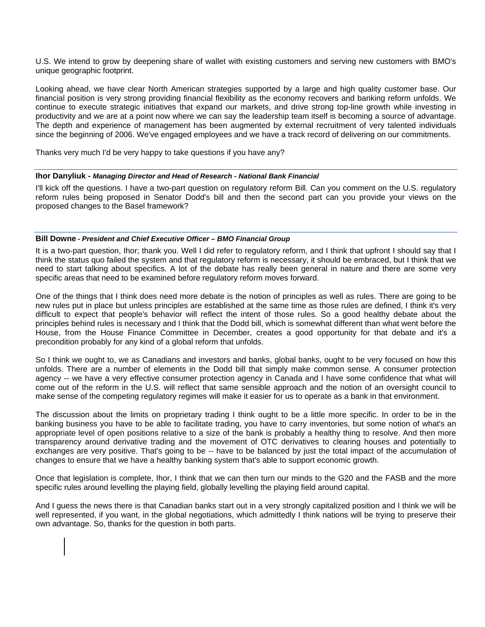U.S. We intend to grow by deepening share of wallet with existing customers and serving new customers with BMO's unique geographic footprint.

Looking ahead, we have clear North American strategies supported by a large and high quality customer base. Our financial position is very strong providing financial flexibility as the economy recovers and banking reform unfolds. We continue to execute strategic initiatives that expand our markets, and drive strong top-line growth while investing in productivity and we are at a point now where we can say the leadership team itself is becoming a source of advantage. The depth and experience of management has been augmented by external recruitment of very talented individuals since the beginning of 2006. We've engaged employees and we have a track record of delivering on our commitments.

Thanks very much I'd be very happy to take questions if you have any?

## **Ihor Danyliuk** *- Managing Director and Head of Research - National Bank Financial*

I'll kick off the questions. I have a two-part question on regulatory reform Bill. Can you comment on the U.S. regulatory reform rules being proposed in Senator Dodd's bill and then the second part can you provide your views on the proposed changes to the Basel framework?

## **Bill Downe** *- President and Chief Executive Officer – BMO Financial Group*

It is a two-part question, Ihor; thank you. Well I did refer to regulatory reform, and I think that upfront I should say that I think the status quo failed the system and that regulatory reform is necessary, it should be embraced, but I think that we need to start talking about specifics. A lot of the debate has really been general in nature and there are some very specific areas that need to be examined before regulatory reform moves forward.

One of the things that I think does need more debate is the notion of principles as well as rules. There are going to be new rules put in place but unless principles are established at the same time as those rules are defined, I think it's very difficult to expect that people's behavior will reflect the intent of those rules. So a good healthy debate about the principles behind rules is necessary and I think that the Dodd bill, which is somewhat different than what went before the House, from the House Finance Committee in December, creates a good opportunity for that debate and it's a precondition probably for any kind of a global reform that unfolds.

So I think we ought to, we as Canadians and investors and banks, global banks, ought to be very focused on how this unfolds. There are a number of elements in the Dodd bill that simply make common sense. A consumer protection agency -- we have a very effective consumer protection agency in Canada and I have some confidence that what will come out of the reform in the U.S. will reflect that same sensible approach and the notion of an oversight council to make sense of the competing regulatory regimes will make it easier for us to operate as a bank in that environment.

The discussion about the limits on proprietary trading I think ought to be a little more specific. In order to be in the banking business you have to be able to facilitate trading, you have to carry inventories, but some notion of what's an appropriate level of open positions relative to a size of the bank is probably a healthy thing to resolve. And then more transparency around derivative trading and the movement of OTC derivatives to clearing houses and potentially to exchanges are very positive. That's going to be -- have to be balanced by just the total impact of the accumulation of changes to ensure that we have a healthy banking system that's able to support economic growth.

Once that legislation is complete, Ihor, I think that we can then turn our minds to the G20 and the FASB and the more specific rules around levelling the playing field, globally levelling the playing field around capital.

And I guess the news there is that Canadian banks start out in a very strongly capitalized position and I think we will be well represented, if you want, in the global negotiations, which admittedly I think nations will be trying to preserve their own advantage. So, thanks for the question in both parts.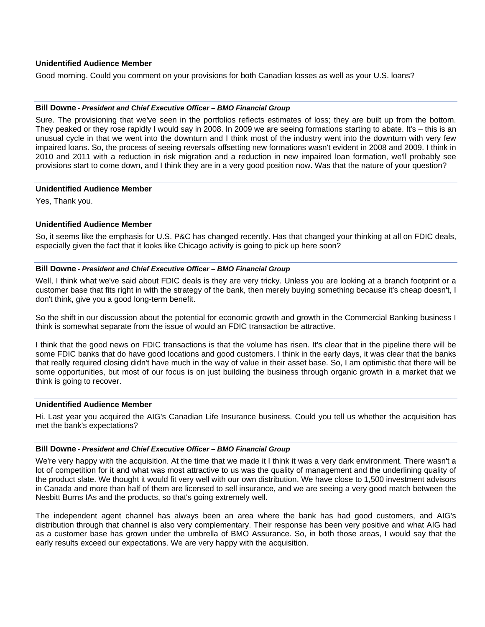# **Unidentified Audience Member**

Good morning. Could you comment on your provisions for both Canadian losses as well as your U.S. loans?

#### **Bill Downe** *- President and Chief Executive Officer – BMO Financial Group*

Sure. The provisioning that we've seen in the portfolios reflects estimates of loss; they are built up from the bottom. They peaked or they rose rapidly I would say in 2008. In 2009 we are seeing formations starting to abate. It's – this is an unusual cycle in that we went into the downturn and I think most of the industry went into the downturn with very few impaired loans. So, the process of seeing reversals offsetting new formations wasn't evident in 2008 and 2009. I think in 2010 and 2011 with a reduction in risk migration and a reduction in new impaired loan formation, we'll probably see provisions start to come down, and I think they are in a very good position now. Was that the nature of your question?

# **Unidentified Audience Member**

Yes, Thank you.

## **Unidentified Audience Member**

So, it seems like the emphasis for U.S. P&C has changed recently. Has that changed your thinking at all on FDIC deals, especially given the fact that it looks like Chicago activity is going to pick up here soon?

#### **Bill Downe** *- President and Chief Executive Officer – BMO Financial Group*

Well, I think what we've said about FDIC deals is they are very tricky. Unless you are looking at a branch footprint or a customer base that fits right in with the strategy of the bank, then merely buying something because it's cheap doesn't, I don't think, give you a good long-term benefit.

So the shift in our discussion about the potential for economic growth and growth in the Commercial Banking business I think is somewhat separate from the issue of would an FDIC transaction be attractive.

I think that the good news on FDIC transactions is that the volume has risen. It's clear that in the pipeline there will be some FDIC banks that do have good locations and good customers. I think in the early days, it was clear that the banks that really required closing didn't have much in the way of value in their asset base. So, I am optimistic that there will be some opportunities, but most of our focus is on just building the business through organic growth in a market that we think is going to recover.

# **Unidentified Audience Member**

Hi. Last year you acquired the AIG's Canadian Life Insurance business. Could you tell us whether the acquisition has met the bank's expectations?

#### **Bill Downe** *- President and Chief Executive Officer – BMO Financial Group*

We're very happy with the acquisition. At the time that we made it I think it was a very dark environment. There wasn't a lot of competition for it and what was most attractive to us was the quality of management and the underlining quality of the product slate. We thought it would fit very well with our own distribution. We have close to 1,500 investment advisors in Canada and more than half of them are licensed to sell insurance, and we are seeing a very good match between the Nesbitt Burns IAs and the products, so that's going extremely well.

The independent agent channel has always been an area where the bank has had good customers, and AIG's distribution through that channel is also very complementary. Their response has been very positive and what AIG had as a customer base has grown under the umbrella of BMO Assurance. So, in both those areas, I would say that the early results exceed our expectations. We are very happy with the acquisition.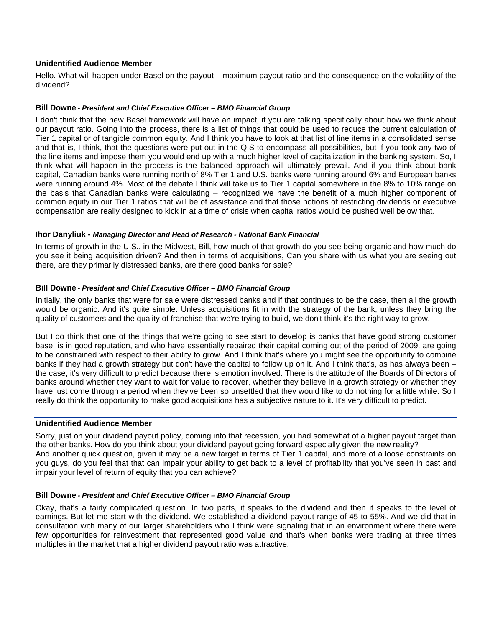## **Unidentified Audience Member**

Hello. What will happen under Basel on the payout – maximum payout ratio and the consequence on the volatility of the dividend?

# **Bill Downe** *- President and Chief Executive Officer – BMO Financial Group*

I don't think that the new Basel framework will have an impact, if you are talking specifically about how we think about our payout ratio. Going into the process, there is a list of things that could be used to reduce the current calculation of Tier 1 capital or of tangible common equity. And I think you have to look at that list of line items in a consolidated sense and that is, I think, that the questions were put out in the QIS to encompass all possibilities, but if you took any two of the line items and impose them you would end up with a much higher level of capitalization in the banking system. So, I think what will happen in the process is the balanced approach will ultimately prevail. And if you think about bank capital, Canadian banks were running north of 8% Tier 1 and U.S. banks were running around 6% and European banks were running around 4%. Most of the debate I think will take us to Tier 1 capital somewhere in the 8% to 10% range on the basis that Canadian banks were calculating – recognized we have the benefit of a much higher component of common equity in our Tier 1 ratios that will be of assistance and that those notions of restricting dividends or executive compensation are really designed to kick in at a time of crisis when capital ratios would be pushed well below that.

#### **Ihor Danyliuk** *- Managing Director and Head of Research - National Bank Financial*

In terms of growth in the U.S., in the Midwest, Bill, how much of that growth do you see being organic and how much do you see it being acquisition driven? And then in terms of acquisitions, Can you share with us what you are seeing out there, are they primarily distressed banks, are there good banks for sale?

## **Bill Downe** *- President and Chief Executive Officer – BMO Financial Group*

Initially, the only banks that were for sale were distressed banks and if that continues to be the case, then all the growth would be organic. And it's quite simple. Unless acquisitions fit in with the strategy of the bank, unless they bring the quality of customers and the quality of franchise that we're trying to build, we don't think it's the right way to grow.

But I do think that one of the things that we're going to see start to develop is banks that have good strong customer base, is in good reputation, and who have essentially repaired their capital coming out of the period of 2009, are going to be constrained with respect to their ability to grow. And I think that's where you might see the opportunity to combine banks if they had a growth strategy but don't have the capital to follow up on it. And I think that's, as has always been – the case, it's very difficult to predict because there is emotion involved. There is the attitude of the Boards of Directors of banks around whether they want to wait for value to recover, whether they believe in a growth strategy or whether they have just come through a period when they've been so unsettled that they would like to do nothing for a little while. So I really do think the opportunity to make good acquisitions has a subjective nature to it. It's very difficult to predict.

## **Unidentified Audience Member**

Sorry, just on your dividend payout policy, coming into that recession, you had somewhat of a higher payout target than the other banks. How do you think about your dividend payout going forward especially given the new reality? And another quick question, given it may be a new target in terms of Tier 1 capital, and more of a loose constraints on you guys, do you feel that that can impair your ability to get back to a level of profitability that you've seen in past and impair your level of return of equity that you can achieve?

## **Bill Downe** *- President and Chief Executive Officer – BMO Financial Group*

Okay, that's a fairly complicated question. In two parts, it speaks to the dividend and then it speaks to the level of earnings. But let me start with the dividend. We established a dividend payout range of 45 to 55%. And we did that in consultation with many of our larger shareholders who I think were signaling that in an environment where there were few opportunities for reinvestment that represented good value and that's when banks were trading at three times multiples in the market that a higher dividend payout ratio was attractive.